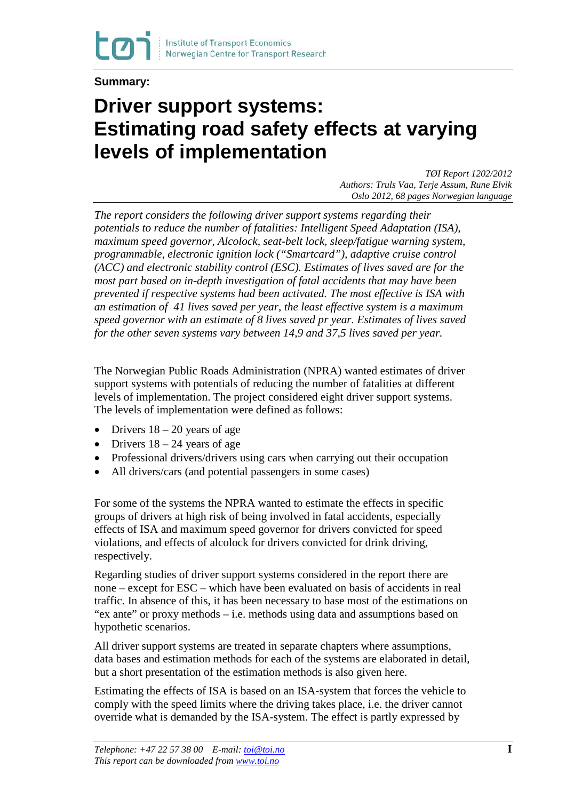**Summary:**

## **Driver support systems: Estimating road safety effects at varying levels of implementation**

*TØI Report 1202/2012 Authors: Truls Vaa, Terje Assum, Rune Elvik Oslo 2012, 68 pages Norwegian language*

*The report considers the following driver support systems regarding their potentials to reduce the number of fatalities: Intelligent Speed Adaptation (ISA), maximum speed governor, Alcolock, seat-belt lock, sleep/fatigue warning system, programmable, electronic ignition lock ("Smartcard"), adaptive cruise control (ACC) and electronic stability control (ESC). Estimates of lives saved are for the most part based on in-depth investigation of fatal accidents that may have been prevented if respective systems had been activated. The most effective is ISA with an estimation of 41 lives saved per year, the least effective system is a maximum speed governor with an estimate of 8 lives saved pr year. Estimates of lives saved for the other seven systems vary between 14,9 and 37,5 lives saved per year.*

The Norwegian Public Roads Administration (NPRA) wanted estimates of driver support systems with potentials of reducing the number of fatalities at different levels of implementation. The project considered eight driver support systems. The levels of implementation were defined as follows:

- Drivers  $18 20$  years of age
- Drivers  $18 24$  years of age
- Professional drivers/drivers using cars when carrying out their occupation
- All drivers/cars (and potential passengers in some cases)

For some of the systems the NPRA wanted to estimate the effects in specific groups of drivers at high risk of being involved in fatal accidents, especially effects of ISA and maximum speed governor for drivers convicted for speed violations, and effects of alcolock for drivers convicted for drink driving, respectively.

Regarding studies of driver support systems considered in the report there are none – except for ESC – which have been evaluated on basis of accidents in real traffic. In absence of this, it has been necessary to base most of the estimations on "ex ante" or proxy methods – i.e. methods using data and assumptions based on hypothetic scenarios.

All driver support systems are treated in separate chapters where assumptions, data bases and estimation methods for each of the systems are elaborated in detail, but a short presentation of the estimation methods is also given here.

Estimating the effects of ISA is based on an ISA-system that forces the vehicle to comply with the speed limits where the driving takes place, i.e. the driver cannot override what is demanded by the ISA-system. The effect is partly expressed by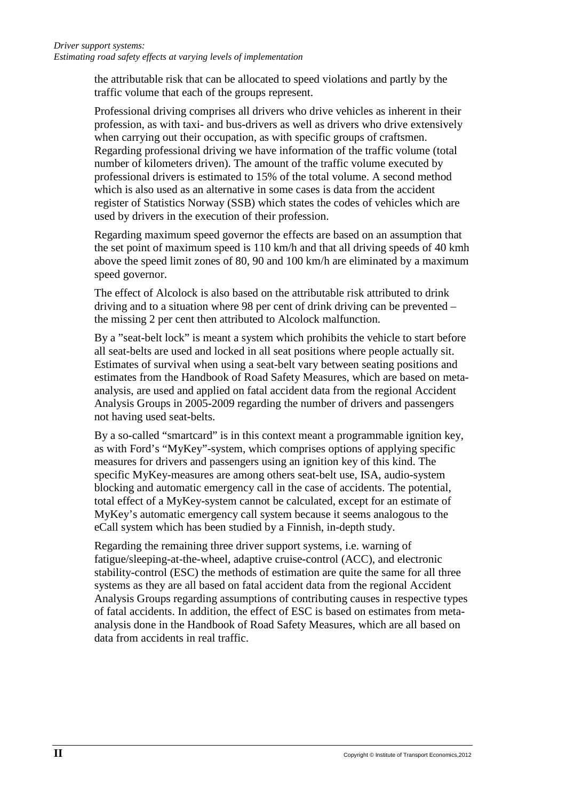the attributable risk that can be allocated to speed violations and partly by the traffic volume that each of the groups represent.

Professional driving comprises all drivers who drive vehicles as inherent in their profession, as with taxi- and bus-drivers as well as drivers who drive extensively when carrying out their occupation, as with specific groups of craftsmen. Regarding professional driving we have information of the traffic volume (total number of kilometers driven). The amount of the traffic volume executed by professional drivers is estimated to 15% of the total volume. A second method which is also used as an alternative in some cases is data from the accident register of Statistics Norway (SSB) which states the codes of vehicles which are used by drivers in the execution of their profession.

Regarding maximum speed governor the effects are based on an assumption that the set point of maximum speed is 110 km/h and that all driving speeds of 40 kmh above the speed limit zones of 80, 90 and 100 km/h are eliminated by a maximum speed governor.

The effect of Alcolock is also based on the attributable risk attributed to drink driving and to a situation where 98 per cent of drink driving can be prevented – the missing 2 per cent then attributed to Alcolock malfunction.

By a "seat-belt lock" is meant a system which prohibits the vehicle to start before all seat-belts are used and locked in all seat positions where people actually sit. Estimates of survival when using a seat-belt vary between seating positions and estimates from the Handbook of Road Safety Measures, which are based on metaanalysis, are used and applied on fatal accident data from the regional Accident Analysis Groups in 2005-2009 regarding the number of drivers and passengers not having used seat-belts.

By a so-called "smartcard" is in this context meant a programmable ignition key, as with Ford's "MyKey"-system, which comprises options of applying specific measures for drivers and passengers using an ignition key of this kind. The specific MyKey-measures are among others seat-belt use, ISA, audio-system blocking and automatic emergency call in the case of accidents. The potential, total effect of a MyKey-system cannot be calculated, except for an estimate of MyKey's automatic emergency call system because it seems analogous to the eCall system which has been studied by a Finnish, in-depth study.

Regarding the remaining three driver support systems, i.e. warning of fatigue/sleeping-at-the-wheel, adaptive cruise-control (ACC), and electronic stability-control (ESC) the methods of estimation are quite the same for all three systems as they are all based on fatal accident data from the regional Accident Analysis Groups regarding assumptions of contributing causes in respective types of fatal accidents. In addition, the effect of ESC is based on estimates from metaanalysis done in the Handbook of Road Safety Measures, which are all based on data from accidents in real traffic.